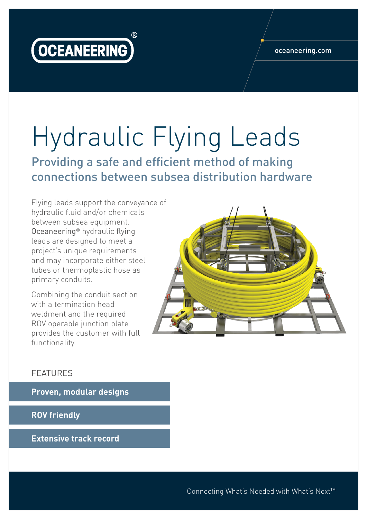

## Hydraulic Flying Leads

Providing a safe and efficient method of making connections between subsea distribution hardware

Flying leads support the conveyance of hydraulic fluid and/or chemicals between subsea equipment. Oceaneering® hydraulic flying leads are designed to meet a project's unique requirements and may incorporate either steel tubes or thermoplastic hose as primary conduits.

Combining the conduit section with a termination head weldment and the required ROV operable junction plate provides the customer with full functionality.



## FEATURES

**Proven, modular designs**

**ROV friendly**

**Extensive track record**

Connecting What's Needed with What's Next™